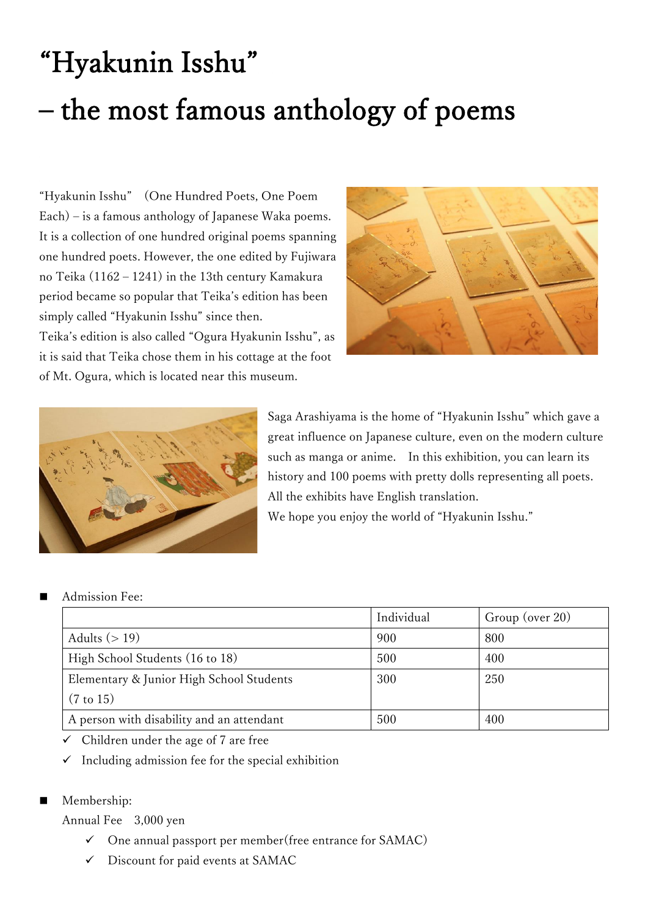## "Hyakunin Isshu" – the most famous anthology of poems

"Hyakunin Isshu" (One Hundred Poets, One Poem Each) – is a famous anthology of Japanese Waka poems. It is a collection of one hundred original poems spanning one hundred poets. However, the one edited by Fujiwara no Teika (1162 – 1241) in the 13th century Kamakura period became so popular that Teika's edition has been simply called "Hyakunin Isshu" since then. Teika's edition is also called "Ogura Hyakunin Isshu", as it is said that Teika chose them in his cottage at the foot of Mt. Ogura, which is located near this museum.



![](_page_0_Picture_3.jpeg)

Saga Arashiyama is the home of "Hyakunin Isshu" which gave a great influence on Japanese culture, even on the modern culture such as manga or anime. In this exhibition, you can learn its history and 100 poems with pretty dolls representing all poets. All the exhibits have English translation. We hope you enjoy the world of "Hyakunin Isshu."

## Admission Fee:

|                                           | Individual | Group (over 20) |
|-------------------------------------------|------------|-----------------|
| Adults $(>19)$                            | 900        | 800             |
| High School Students (16 to 18)           | 500        | 400             |
| Elementary & Junior High School Students  | 300        | 250             |
| $(7 \text{ to } 15)$                      |            |                 |
| A person with disability and an attendant | 500        | 400             |

 $\checkmark$  Children under the age of 7 are free

 $\checkmark$  Including admission fee for the special exhibition

## ■ Membership:

Annual Fee 3,000 yen

- ✓ One annual passport per member(free entrance for SAMAC)
- Discount for paid events at SAMAC